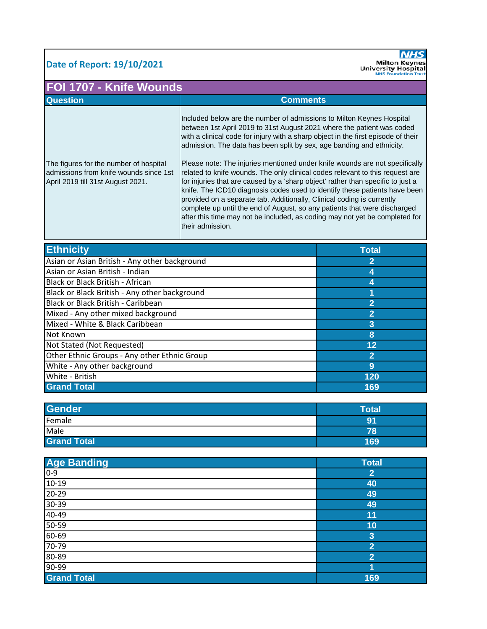## **Date of Report: 19/10/2021**



| FOI 1707 - Knife Wounds                                                                                               |                                                                                                                                                                                                                                                                                                                                                                                                                                                                                                                                                                                                                                                                                                                                                                                                                                                                                                          |                |
|-----------------------------------------------------------------------------------------------------------------------|----------------------------------------------------------------------------------------------------------------------------------------------------------------------------------------------------------------------------------------------------------------------------------------------------------------------------------------------------------------------------------------------------------------------------------------------------------------------------------------------------------------------------------------------------------------------------------------------------------------------------------------------------------------------------------------------------------------------------------------------------------------------------------------------------------------------------------------------------------------------------------------------------------|----------------|
| <b>Question</b>                                                                                                       | <b>Comments</b>                                                                                                                                                                                                                                                                                                                                                                                                                                                                                                                                                                                                                                                                                                                                                                                                                                                                                          |                |
| The figures for the number of hospital<br>admissions from knife wounds since 1st<br>April 2019 till 31st August 2021. | Included below are the number of admissions to Milton Keynes Hospital<br>between 1st April 2019 to 31st August 2021 where the patient was coded<br>with a clinical code for injury with a sharp object in the first episode of their<br>admission. The data has been split by sex, age banding and ethnicity.<br>Please note: The injuries mentioned under knife wounds are not specifically<br>related to knife wounds. The only clinical codes relevant to this request are<br>for injuries that are caused by a 'sharp object' rather than specific to just a<br>knife. The ICD10 diagnosis codes used to identify these patients have been<br>provided on a separate tab. Additionally, Clinical coding is currently<br>complete up until the end of August, so any patients that were discharged<br>after this time may not be included, as coding may not yet be completed for<br>their admission. |                |
| <b>Ethnicity</b>                                                                                                      |                                                                                                                                                                                                                                                                                                                                                                                                                                                                                                                                                                                                                                                                                                                                                                                                                                                                                                          | <b>Total</b>   |
| Asian or Asian British - Any other background                                                                         |                                                                                                                                                                                                                                                                                                                                                                                                                                                                                                                                                                                                                                                                                                                                                                                                                                                                                                          | 2              |
| Asian or Asian British - Indian                                                                                       |                                                                                                                                                                                                                                                                                                                                                                                                                                                                                                                                                                                                                                                                                                                                                                                                                                                                                                          | 4              |
| Black or Black British - African                                                                                      |                                                                                                                                                                                                                                                                                                                                                                                                                                                                                                                                                                                                                                                                                                                                                                                                                                                                                                          | 4              |
| Black or Black British - Any other background                                                                         |                                                                                                                                                                                                                                                                                                                                                                                                                                                                                                                                                                                                                                                                                                                                                                                                                                                                                                          |                |
| Black or Black British - Caribbean                                                                                    |                                                                                                                                                                                                                                                                                                                                                                                                                                                                                                                                                                                                                                                                                                                                                                                                                                                                                                          | $\overline{2}$ |
| Mixed - Any other mixed background                                                                                    |                                                                                                                                                                                                                                                                                                                                                                                                                                                                                                                                                                                                                                                                                                                                                                                                                                                                                                          | $\overline{2}$ |
| Mixed - White & Black Caribbean                                                                                       |                                                                                                                                                                                                                                                                                                                                                                                                                                                                                                                                                                                                                                                                                                                                                                                                                                                                                                          | 3              |
| Not Known                                                                                                             |                                                                                                                                                                                                                                                                                                                                                                                                                                                                                                                                                                                                                                                                                                                                                                                                                                                                                                          | 8              |
| Not Stated (Not Requested)                                                                                            |                                                                                                                                                                                                                                                                                                                                                                                                                                                                                                                                                                                                                                                                                                                                                                                                                                                                                                          | 12             |

| <u>INUL SLALEU (INUL INEQUESTEU)</u>         |     |
|----------------------------------------------|-----|
| Other Ethnic Groups - Any other Ethnic Group |     |
| White - Any other background                 |     |
| White - British                              | 120 |
| <b>Grand Total</b>                           | 169 |

| <b>Gender</b>      | Total |
|--------------------|-------|
| Female             | 91    |
| Male               | 78    |
| <b>Grand Total</b> | 169   |

| <b>Age Banding</b> | <b>Total</b>   |
|--------------------|----------------|
| $0 - 9$            | $\overline{2}$ |
| $10-19$            | 40             |
| $20 - 29$          | 49             |
| $30 - 39$          | 49             |
| 40-49              | 11             |
| $50 - 59$          | 10             |
| 60-69              | 3              |
| 70-79              | $\overline{2}$ |
| 80-89              | $\overline{2}$ |
| $90 - 99$          |                |
| <b>Grand Total</b> | 169            |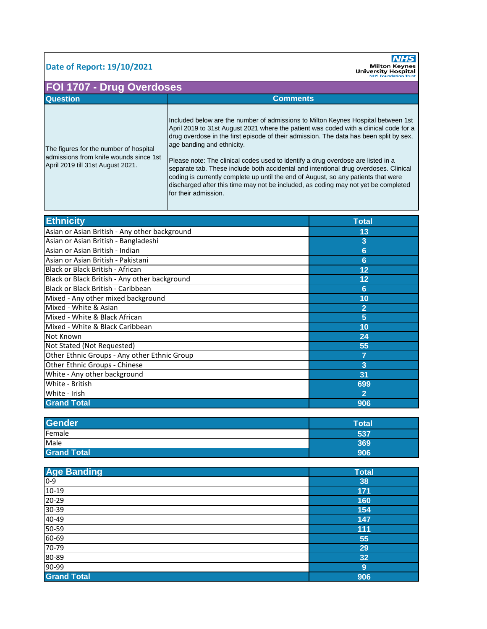## **Date of Report: 19/10/2021**

**NHS**<br>
Milton Keynes<br>
University Hospital<br>
NHS Foundation Trust

## **FOI 1707 - Drug Overdoses**

| <b>Question</b>                                                                                                       | <b>Comments</b>                                                                                                                                                                                                                                                                                                                                                                                                                                                                                                                                                      |
|-----------------------------------------------------------------------------------------------------------------------|----------------------------------------------------------------------------------------------------------------------------------------------------------------------------------------------------------------------------------------------------------------------------------------------------------------------------------------------------------------------------------------------------------------------------------------------------------------------------------------------------------------------------------------------------------------------|
| The figures for the number of hospital<br>admissions from knife wounds since 1st<br>April 2019 till 31st August 2021. | Included below are the number of admissions to Milton Keynes Hospital between 1st<br>April 2019 to 31st August 2021 where the patient was coded with a clinical code for a<br>drug overdose in the first episode of their admission. The data has been split by sex,<br>age banding and ethnicity.<br>Please note: The clinical codes used to identify a drug overdose are listed in a<br>separate tab. These include both accidental and intentional drug overdoses. Clinical<br>coding is currently complete up until the end of August, so any patients that were |
|                                                                                                                       | discharged after this time may not be included, as coding may not yet be completed<br>for their admission.                                                                                                                                                                                                                                                                                                                                                                                                                                                           |

| <b>Ethnicity</b>                              | <b>Total</b>   |
|-----------------------------------------------|----------------|
| Asian or Asian British - Any other background | 13             |
| Asian or Asian British - Bangladeshi          | 3              |
| Asian or Asian British - Indian               | 6              |
| Asian or Asian British - Pakistani            | 6              |
| Black or Black British - African              | 12             |
| Black or Black British - Any other background | 12             |
| Black or Black British - Caribbean            | 6              |
| Mixed - Any other mixed background            | 10             |
| Mixed - White & Asian                         | $\overline{2}$ |
| Mixed - White & Black African                 | 5              |
| Mixed - White & Black Caribbean               | 10             |
| Not Known                                     | 24             |
| Not Stated (Not Requested)                    | 55             |
| Other Ethnic Groups - Any other Ethnic Group  |                |
| Other Ethnic Groups - Chinese                 | 3              |
| White - Any other background                  | 31             |
| White - British                               | 699            |
| White - Irish                                 | $\overline{2}$ |
| <b>Grand Total</b>                            | 906            |

| <b>Gender</b>      | Total |
|--------------------|-------|
| Female             | 537   |
| Male               | 369   |
| <b>Grand Total</b> | 906   |

| <b>Age Banding</b> | <b>Total</b> |
|--------------------|--------------|
| $0 - 9$            | 38           |
| $10-19$            | 171          |
| $20 - 29$          | 160          |
| 30-39              | 154          |
| 40-49              | 147          |
| 50-59              | 111          |
| 60-69              | 55           |
| $70 - 79$          | 29           |
| 80-89              | 32           |
| 90-99              | 9            |
| <b>Grand Total</b> | 906          |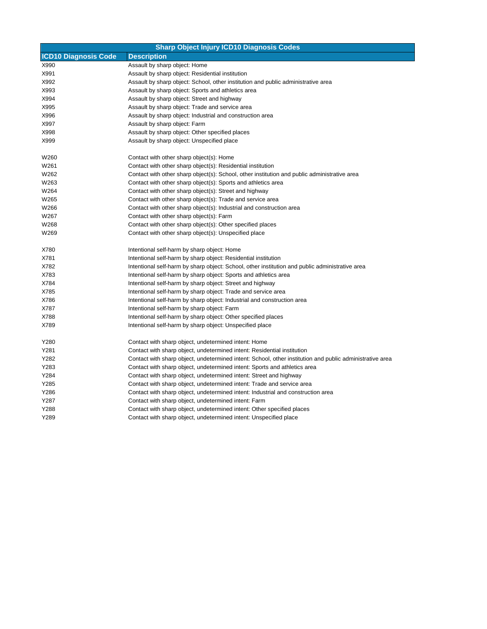| <b>Sharp Object Injury ICD10 Diagnosis Codes</b> |                                                                                                          |  |
|--------------------------------------------------|----------------------------------------------------------------------------------------------------------|--|
| <b>ICD10 Diagnosis Code</b>                      | <b>Description</b>                                                                                       |  |
| X990                                             | Assault by sharp object: Home                                                                            |  |
| X991                                             | Assault by sharp object: Residential institution                                                         |  |
| X992                                             | Assault by sharp object: School, other institution and public administrative area                        |  |
| X993                                             | Assault by sharp object: Sports and athletics area                                                       |  |
| X994                                             | Assault by sharp object: Street and highway                                                              |  |
| X995                                             | Assault by sharp object: Trade and service area                                                          |  |
| X996                                             | Assault by sharp object: Industrial and construction area                                                |  |
| X997                                             | Assault by sharp object: Farm                                                                            |  |
| X998                                             | Assault by sharp object: Other specified places                                                          |  |
| X999                                             | Assault by sharp object: Unspecified place                                                               |  |
| W260                                             | Contact with other sharp object(s): Home                                                                 |  |
| W261                                             | Contact with other sharp object(s): Residential institution                                              |  |
| W262                                             | Contact with other sharp object(s): School, other institution and public administrative area             |  |
| W263                                             | Contact with other sharp object(s): Sports and athletics area                                            |  |
| W264                                             | Contact with other sharp object(s): Street and highway                                                   |  |
| W265                                             | Contact with other sharp object(s): Trade and service area                                               |  |
| W266                                             | Contact with other sharp object(s): Industrial and construction area                                     |  |
| W267                                             | Contact with other sharp object(s): Farm                                                                 |  |
| W268                                             | Contact with other sharp object(s): Other specified places                                               |  |
| W269                                             | Contact with other sharp object(s): Unspecified place                                                    |  |
| X780                                             | Intentional self-harm by sharp object: Home                                                              |  |
| X781                                             | Intentional self-harm by sharp object: Residential institution                                           |  |
| X782                                             | Intentional self-harm by sharp object: School, other institution and public administrative area          |  |
| X783                                             | Intentional self-harm by sharp object: Sports and athletics area                                         |  |
| X784                                             | Intentional self-harm by sharp object: Street and highway                                                |  |
| X785                                             | Intentional self-harm by sharp object: Trade and service area                                            |  |
| X786                                             | Intentional self-harm by sharp object: Industrial and construction area                                  |  |
| X787                                             | Intentional self-harm by sharp object: Farm                                                              |  |
| X788                                             | Intentional self-harm by sharp object: Other specified places                                            |  |
| X789                                             | Intentional self-harm by sharp object: Unspecified place                                                 |  |
| Y280                                             | Contact with sharp object, undetermined intent: Home                                                     |  |
| Y281                                             | Contact with sharp object, undetermined intent: Residential institution                                  |  |
| Y282                                             | Contact with sharp object, undetermined intent: School, other institution and public administrative area |  |
| Y283                                             | Contact with sharp object, undetermined intent: Sports and athletics area                                |  |
| Y284                                             | Contact with sharp object, undetermined intent: Street and highway                                       |  |
| Y285                                             | Contact with sharp object, undetermined intent: Trade and service area                                   |  |
| Y286                                             | Contact with sharp object, undetermined intent: Industrial and construction area                         |  |
| Y287                                             | Contact with sharp object, undetermined intent: Farm                                                     |  |
| Y288                                             | Contact with sharp object, undetermined intent: Other specified places                                   |  |
| Y289                                             | Contact with sharp object, undetermined intent: Unspecified place                                        |  |